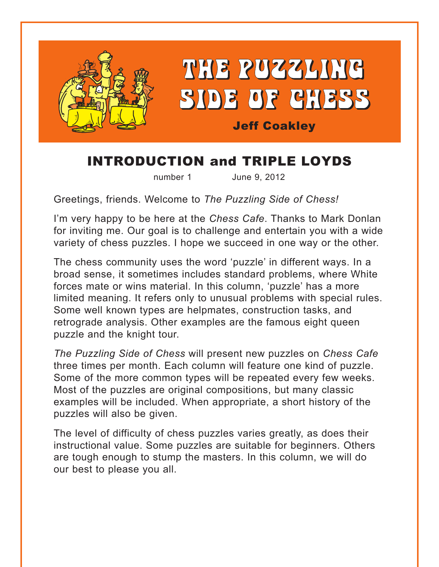

## INTRODUCTION and TRIPLE LOYDS

number 1 June 9, 2012

Greetings, friends. Welcome to *The Puzzling Side of Chess!* 

I'm very happy to be here at the *Chess Cafe*. Thanks to Mark Donlan for inviting me. Our goal is to challenge and entertain you with a wide variety of chess puzzles. I hope we succeed in one way or the other.

The chess community uses the word 'puzzle' in different ways. In a broad sense, it sometimes includes standard problems, where White forces mate or wins material. In this column, 'puzzle' has a more limited meaning. It refers only to unusual problems with special rules. Some well known types are helpmates, construction tasks, and retrograde analysis. Other examples are the famous eight queen puzzle and the knight tour.

*The Puzzling Side of Chess* will present new puzzles on *Chess Cafe* three times per month. Each column will feature one kind of puzzle. Some of the more common types will be repeated every few weeks. Most of the puzzles are original compositions, but many classic examples will be included. When appropriate, a short history of the puzzles will also be given.

The level of difficulty of chess puzzles varies greatly, as does their instructional value. Some puzzles are suitable for beginners. Others are tough enough to stump the masters. In this column, we will do our best to please you all.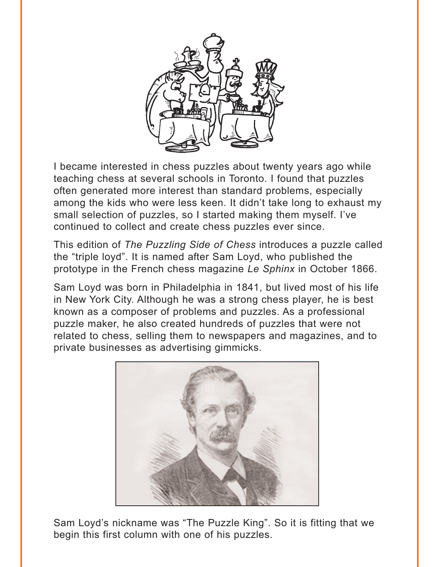

I became interested in chess puzzles about twenty years ago while teaching chess at several schools in Toronto. I found that puzzles often generated more interest than standard problems, especially among the kids who were less keen. It didn't take long to exhaust my small selection of puzzles, so I started making them myself. I've continued to collect and create chess puzzles ever since.

This edition of *The Puzzling Side of Chess* introduces a puzzle called the "triple loyd". It is named after Sam Loyd, who published the prototype in the French chess magazine *Le Sphinx* in October 1866.

Sam Loyd was born in Philadelphia in 1841, but lived most of his life in New York City. Although he was a strong chess player, he is best known as a composer of problems and puzzles. As a professional puzzle maker, he also created hundreds of puzzles that were not related to chess, selling them to newspapers and magazines, and to private businesses as advertising gimmicks.



Sam Loyd's nickname was "The Puzzle King". So it is fitting that we begin this first column with one of his puzzles.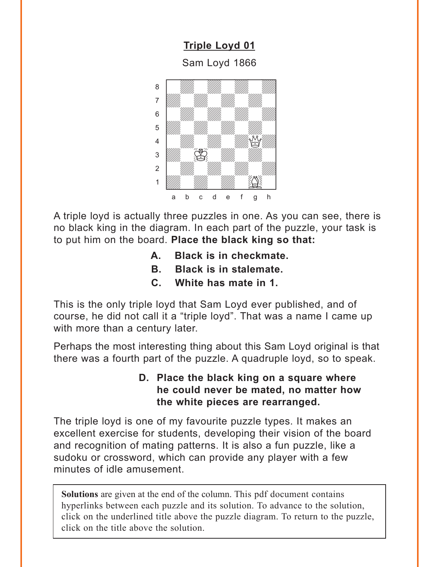**[Triple Loyd 01](#page-4-0)**

Sam Loyd 1866

<span id="page-2-0"></span>

A triple loyd is actually three puzzles in one. As you can see, there is no black king in the diagram. In each part of the puzzle, your task is to put him on the board. **Place the black king so that:**

- **A. Black is in checkmate.**
- **B. Black is in stalemate.**
- **C. White has mate in 1.**

This is the only triple loyd that Sam Loyd ever published, and of course, he did not call it a "triple loyd". That was a name I came up with more than a century later.

Perhaps the most interesting thing about this Sam Loyd original is that there was a fourth part of the puzzle. A quadruple loyd, so to speak.

## **D. Place the black king on a square where he could never be mated, no matter how the white pieces are rearranged.**

The triple loyd is one of my favourite puzzle types. It makes an excellent exercise for students, developing their vision of the board and recognition of mating patterns. It is also a fun puzzle, like a sudoku or crossword, which can provide any player with a few minutes of idle amusement.

**Solutions** are given at the end of the column. This pdf document contains hyperlinks between each puzzle and its solution. To advance to the solution, click on the underlined title above the puzzle diagram. To return to the puzzle, click on the title above the solution.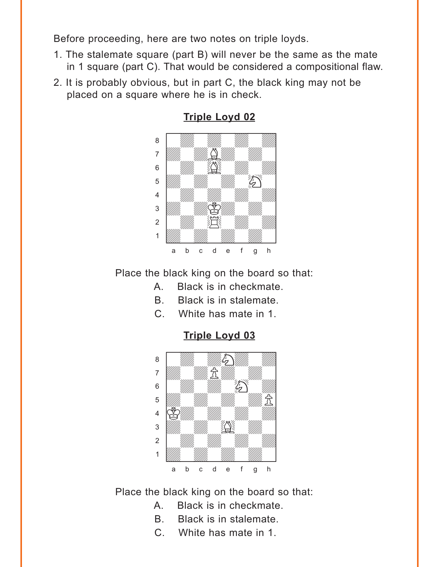<span id="page-3-0"></span>Before proceeding, here are two notes on triple loyds.

- 1. The stalemate square (part B) will never be the same as the mate in 1 square (part C). That would be considered a compositional flaw.
- 2. It is probably obvious, but in part C, the black king may not be placed on a square where he is in check.



**[Triple Loyd 02](#page-4-0)**

Place the black king on the board so that:

- A. Black is in checkmate.
- B. Black is in stalemate.
- C. White has mate in 1.

**[Triple Loyd 03](#page-5-0)**



Place the black king on the board so that:

- A. Black is in checkmate.
- B. Black is in stalemate.
- C. White has mate in 1.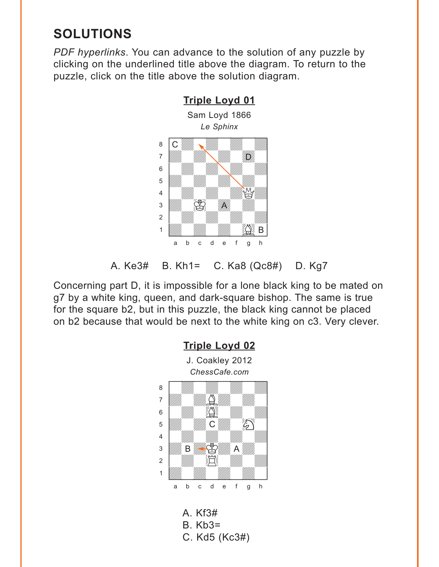## <span id="page-4-0"></span>**SOLUTIONS**

*PDF hyperlinks*. You can advance to the solution of any puzzle by clicking on the underlined title above the diagram. To return to the puzzle, click on the title above the solution diagram.

**[Triple Loyd 01](#page-2-0)**



A. Ke3# B. Kh1= C. Ka8 (Qc8#) D. Kg7

Concerning part D, it is impossible for a lone black king to be mated on g7 by a white king, queen, and dark-square bishop. The same is true for the square b2, but in this puzzle, the black king cannot be placed on b2 because that would be next to the white king on c3. Very clever.